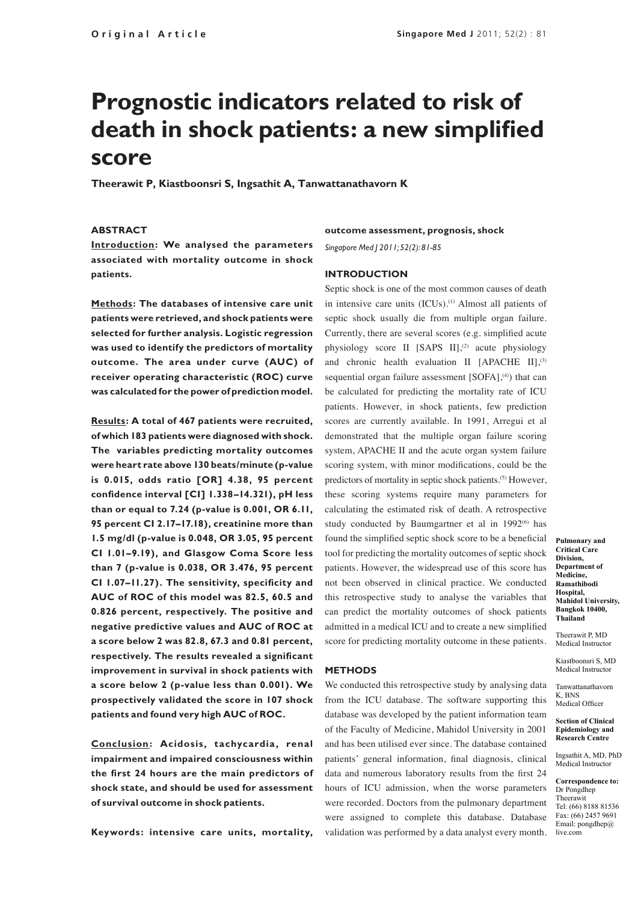# **Prognostic indicators related to risk of death in shock patients: a new simplified score**

**Theerawit P, Kiastboonsri S, Ingsathit A, Tanwattanathavorn K**

# **ABSTRACT**

**Introduction: We analysed the parameters associated with mortality outcome in shock patients.**

**Methods: The databases of intensive care unit patients were retrieved, and shock patients were selected for further analysis. Logistic regression was used to identify the predictors of mortality outcome. The area under curve (AUC) of receiver operating characteristic (ROC) curve was calculated for the power of prediction model.**

**Results: A total of 467 patients were recruited, of which 183 patients were diagnosed with shock. The variables predicting mortality outcomes were heart rate above 130 beats/minute (p-value is 0.015, odds ratio [OR] 4.38, 95 percent confidence interval [CI] 1.338–14.321), pH less than or equal to 7.24 (p-value is 0.001, OR 6.11, 95 percent CI 2.17–17.18), creatinine more than 1.5 mg/dl (p-value is 0.048, OR 3.05, 95 percent CI 1.01–9.19), and Glasgow Coma Score less than 7 (p-value is 0.038, OR 3.476, 95 percent CI 1.07–11.27). The sensitivity, specificity and AUC of ROC of this model was 82.5, 60.5 and 0.826 percent, respectively. The positive and negative predictive values and AUC of ROC at a score below 2 was 82.8, 67.3 and 0.81 percent, respectively. The results revealed a significant improvement in survival in shock patients with a score below 2 (p-value less than 0.001). We prospectively validated the score in 107 shock patients and found very high AUC of ROC.** 

**Conclusion: Acidosis, tachycardia, renal impairment and impaired consciousness within the first 24 hours are the main predictors of shock state, and should be used for assessment of survival outcome in shock patients.** 

**Keywords: intensive care units, mortality,** 

## **outcome assessment, prognosis, shock**

*Singapore Med J 2011; 52(2): 81-85*

# **INTRODUCTION**

Septic shock is one of the most common causes of death in intensive care units (ICUs).<sup>(1)</sup> Almost all patients of septic shock usually die from multiple organ failure. Currently, there are several scores (e.g. simplified acute physiology score II [SAPS II],<sup>(2)</sup> acute physiology and chronic health evaluation II  $[APACHE II]$ ,<sup>(3)</sup> sequential organ failure assessment  $[SOFA]$ ,<sup>(4)</sup>) that can be calculated for predicting the mortality rate of ICU patients. However, in shock patients, few prediction scores are currently available. In 1991, Arregui et al demonstrated that the multiple organ failure scoring system, APACHE II and the acute organ system failure scoring system, with minor modifications, could be the predictors of mortality in septic shock patients.<sup>(5)</sup> However, these scoring systems require many parameters for calculating the estimated risk of death. A retrospective study conducted by Baumgartner et al in  $1992^{(6)}$  has found the simplified septic shock score to be a beneficial tool for predicting the mortality outcomes of septic shock patients. However, the widespread use of this score has not been observed in clinical practice. We conducted this retrospective study to analyse the variables that can predict the mortality outcomes of shock patients admitted in a medical ICU and to create a new simplified score for predicting mortality outcome in these patients.

## **METHODS**

We conducted this retrospective study by analysing data from the ICU database. The software supporting this database was developed by the patient information team of the Faculty of Medicine, Mahidol University in 2001 and has been utilised ever since. The database contained patients' general information, final diagnosis, clinical data and numerous laboratory results from the first 24 hours of ICU admission, when the worse parameters were recorded. Doctors from the pulmonary department were assigned to complete this database. Database validation was performed by a data analyst every month.

**Pulmonary and Critical Care Division, Department of Medicine, Ramathibodi Hospital, Mahidol University, Bangkok 10400, Thailand**

Theerawit P, MD Medical Instructor

Kiastboonsri S, MD Medical Instructor

Tanwattanathavorn K, BNS Medical Officer

#### **Section of Clinical Epidemiology and Research Centre**

Ingsathit A, MD, PhD Medical Instructor

**Correspondence to:** Dr Pongdhep Theerawit Tel: (66) 8188 81536 Fax: (66) 2457 9691 Email: pongdhep@ live.com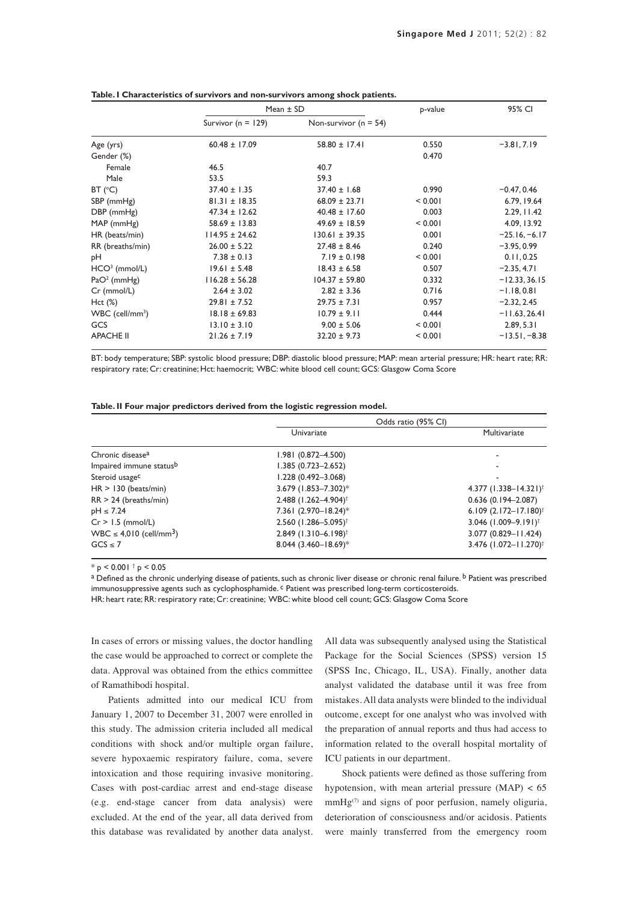|                               | Mean $\pm$ SD          | p-value                   | 95% CI  |                 |
|-------------------------------|------------------------|---------------------------|---------|-----------------|
|                               | Survivor ( $n = 129$ ) | Non-survivor ( $n = 54$ ) |         |                 |
| Age (yrs)                     | $60.48 \pm 17.09$      | $58.80 \pm 17.41$         | 0.550   | $-3.81, 7.19$   |
| Gender (%)                    |                        |                           | 0.470   |                 |
| Female                        | 46.5                   | 40.7                      |         |                 |
| Male                          | 53.5                   | 59.3                      |         |                 |
| BT (°C)                       | $37.40 \pm 1.35$       | $37.40 \pm 1.68$          | 0.990   | $-0.47, 0.46$   |
| SBP (mmHg)                    | $81.31 \pm 18.35$      | $68.09 \pm 23.71$         | < 0.001 | 6.79, 19.64     |
| DBP (mmHg)                    | $47.34 \pm 12.62$      | $40.48 \pm 17.60$         | 0.003   | 2.29, 11.42     |
| $MAP$ (mmHg)                  | $58.69 \pm 13.83$      | $49.69 \pm 18.59$         | < 0.001 | 4.09, 13.92     |
| HR (beats/min)                | $114.95 \pm 24.62$     | $130.61 \pm 39.35$        | 0.001   | $-25.16, -6.17$ |
| RR (breaths/min)              | $26.00 \pm 5.22$       | $27.48 \pm 8.46$          | 0.240   | $-3.95, 0.99$   |
| pН                            | $7.38 \pm 0.13$        | $7.19 \pm 0.198$          | < 0.001 | 0.11, 0.25      |
| $HCO3$ (mmol/L)               | $19.61 \pm 5.48$       | $18.43 \pm 6.58$          | 0.507   | $-2.35, 4.71$   |
| $PaO2$ (mmHg)                 | $116.28 \pm 56.28$     | $104.37 \pm 59.80$        | 0.332   | $-12.33, 36.15$ |
| Cr (mmol/L)                   | $2.64 \pm 3.02$        | $2.82 \pm 3.36$           | 0.716   | $-1.18, 0.81$   |
| $Hct (\%)$                    | $29.81 \pm 7.52$       | $29.75 \pm 7.31$          | 0.957   | $-2.32, 2.45$   |
| $WBC$ (cell/mm <sup>3</sup> ) | $18.18 \pm 69.83$      | $10.79 \pm 9.11$          | 0.444   | $-11.63, 26.41$ |
| GCS                           | $13.10 \pm 3.10$       | $9.00 \pm 5.06$           | < 0.001 | 2.89, 5.31      |
| <b>APACHE II</b>              | $21.26 \pm 7.19$       | $32.20 \pm 9.73$          | < 0.001 | $-13.51, -8.38$ |

## **Table. I Characteristics of survivors and non-survivors among shock patients.**

BT: body temperature; SBP: systolic blood pressure; DBP: diastolic blood pressure; MAP: mean arterial pressure; HR: heart rate; RR: respiratory rate; Cr: creatinine; Hct: haemocrit; WBC: white blood cell count; GCS: Glasgow Coma Score

|  |  |  |  | Table. II Four major predictors derived from the logistic regression model. |  |
|--|--|--|--|-----------------------------------------------------------------------------|--|
|  |  |  |  |                                                                             |  |

|                                          |                                    | Odds ratio (95% CI)                |
|------------------------------------------|------------------------------------|------------------------------------|
|                                          | Univariate                         | Multivariate                       |
| Chronic disease <sup>a</sup>             | 1.981 (0.872-4.500)                |                                    |
| Impaired immune statusb                  | 1.385 (0.723-2.652)                |                                    |
| Steroid usage <sup>c</sup>               | 1.228 (0.492-3.068)                |                                    |
| $HR > 130$ (beats/min)                   | 3.679 (1.853-7.302)*               | 4.377 $(1.338 - 14.321)^{\dagger}$ |
| $RR > 24$ (breaths/min)                  | 2.488 (1.262-4.904) <sup>†</sup>   | $0.636(0.194 - 2.087)$             |
| $pH \leq 7.24$                           | 7.361 (2.970-18.24)*               | 6.109 $(2.172 - 17.180)^{\dagger}$ |
| $Cr > 1.5$ (mmol/L)                      | 2.560 (1.286-5.095) <sup>†</sup>   | 3.046 $(1.009 - 9.191)^{\dagger}$  |
| $WBC \leq 4,010$ (cell/mm <sup>3</sup> ) | $2.849$ (1.310-6.198) <sup>†</sup> | 3.077 (0.829-11.424)               |
| $GCS \leq 7$                             | 8.044 (3.460-18.69)*               | 3.476 (1.072-11.270) <sup>†</sup>  |

\* p < 0.001 † p < 0.05

a Defined as the chronic underlying disease of patients, such as chronic liver disease or chronic renal failure. **b** Patient was prescribed immunosuppressive agents such as cyclophosphamide. <sup>c</sup> Patient was prescribed long-term corticosteroids.

HR: heart rate; RR: respiratory rate; Cr: creatinine; WBC: white blood cell count; GCS: Glasgow Coma Score

In cases of errors or missing values, the doctor handling the case would be approached to correct or complete the data. Approval was obtained from the ethics committee of Ramathibodi hospital.

Patients admitted into our medical ICU from January 1, 2007 to December 31, 2007 were enrolled in this study. The admission criteria included all medical conditions with shock and/or multiple organ failure, severe hypoxaemic respiratory failure, coma, severe intoxication and those requiring invasive monitoring. Cases with post-cardiac arrest and end-stage disease (e.g. end-stage cancer from data analysis) were excluded. At the end of the year, all data derived from this database was revalidated by another data analyst.

All data was subsequently analysed using the Statistical Package for the Social Sciences (SPSS) version 15 (SPSS Inc, Chicago, IL, USA). Finally, another data analyst validated the database until it was free from mistakes. All data analysts were blinded to the individual outcome, except for one analyst who was involved with the preparation of annual reports and thus had access to information related to the overall hospital mortality of ICU patients in our department.

Shock patients were defined as those suffering from hypotension, with mean arterial pressure (MAP) < 65  $mmHg^{(7)}$  and signs of poor perfusion, namely oliguria, deterioration of consciousness and/or acidosis. Patients were mainly transferred from the emergency room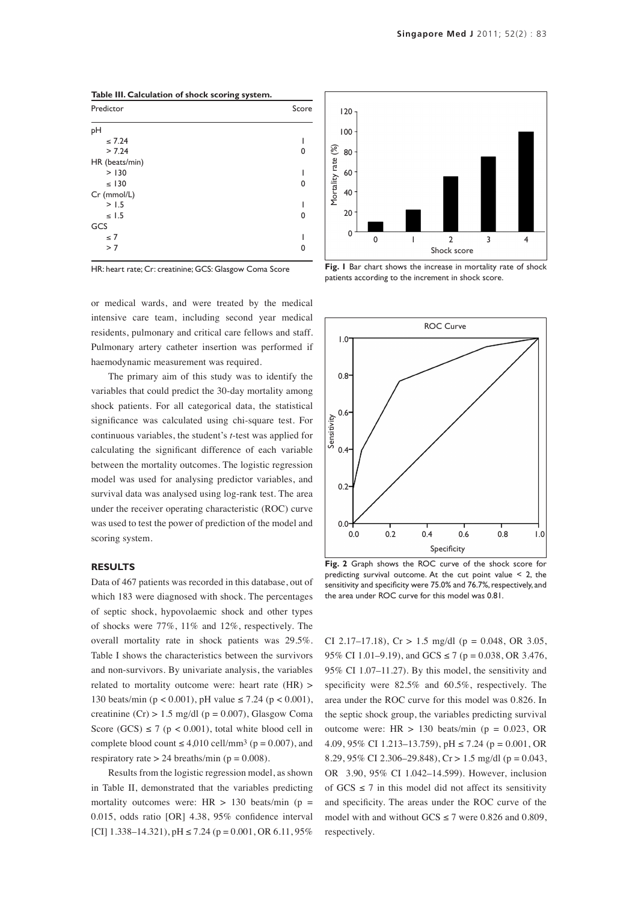| Predictor      | Score |
|----------------|-------|
| pH             |       |
| $\leq 7.24$    |       |
| > 7.24         | 0     |
| HR (beats/min) |       |
| > 130          |       |
| $\leq$ 130     | ŋ     |
| Cr (mmol/L)    |       |
| > 1.5          |       |
| $\leq$ 1.5     | 0     |
| GCS            |       |
| $\leq 7$       |       |
| > 7            | ი     |
|                |       |

HR: heart rate; Cr: creatinine; GCS: Glasgow Coma Score

or medical wards, and were treated by the medical intensive care team, including second year medical residents, pulmonary and critical care fellows and staff. Pulmonary artery catheter insertion was performed if haemodynamic measurement was required.

The primary aim of this study was to identify the variables that could predict the 30-day mortality among shock patients. For all categorical data, the statistical significance was calculated using chi-square test. For continuous variables, the student's *t*-test was applied for calculating the significant difference of each variable between the mortality outcomes. The logistic regression model was used for analysing predictor variables, and survival data was analysed using log-rank test. The area under the receiver operating characteristic (ROC) curve was used to test the power of prediction of the model and scoring system.

## **RESULTS**

Data of 467 patients was recorded in this database, out of which 183 were diagnosed with shock. The percentages of septic shock, hypovolaemic shock and other types of shocks were 77%, 11% and 12%, respectively. The overall mortality rate in shock patients was 29.5%. Table I shows the characteristics between the survivors and non-survivors. By univariate analysis, the variables related to mortality outcome were: heart rate (HR) > 130 beats/min ( $p < 0.001$ ), pH value  $\le 7.24$  ( $p < 0.001$ ), creatinine  $(Cr) > 1.5$  mg/dl (p = 0.007), Glasgow Coma Score (GCS)  $\leq 7$  (p < 0.001), total white blood cell in complete blood count  $\leq 4,010$  cell/mm<sup>3</sup> ( $p = 0.007$ ), and respiratory rate  $> 24$  breaths/min ( $p = 0.008$ ).

Results from the logistic regression model, as shown in Table II, demonstrated that the variables predicting mortality outcomes were:  $HR > 130$  beats/min (p = 0.015, odds ratio [OR] 4.38, 95% confidence interval [CI]  $1.338-14.321$ ,  $pH \le 7.24$  ( $p = 0.001$ , OR 6.11, 95%)



**Fig. 1** Bar chart shows the increase in mortality rate of shock patients according to the increment in shock score.



**Fig. 2** Graph shows the ROC curve of the shock score for predicting survival outcome. At the cut point value < 2, the sensitivity and specificity were 75.0% and 76.7%, respectively, and the area under ROC curve for this model was 0.81.

CI 2.17–17.18),  $Cr > 1.5$  mg/dl (p = 0.048, OR 3.05, 95% CI 1.01–9.19), and GCS  $\leq$  7 (p = 0.038, OR 3.476, 95% CI 1.07–11.27). By this model, the sensitivity and specificity were 82.5% and 60.5%, respectively. The area under the ROC curve for this model was 0.826. In the septic shock group, the variables predicting survival outcome were:  $HR > 130$  beats/min ( $p = 0.023$ , OR 4.09, 95% CI 1.213–13.759), pH ≤ 7.24 (p = 0.001, OR 8.29, 95% CI 2.306–29.848), Cr > 1.5 mg/dl (p = 0.043, OR 3.90, 95% CI 1.042–14.599). However, inclusion of  $GCS \leq 7$  in this model did not affect its sensitivity and specificity. The areas under the ROC curve of the model with and without  $GCS \le 7$  were 0.826 and 0.809, respectively.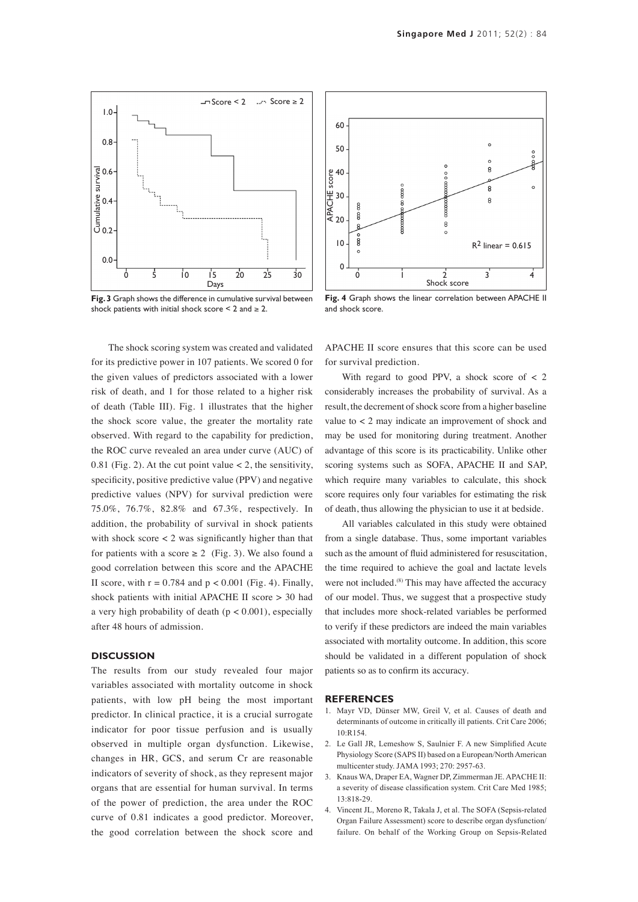

**Fig. 3** Graph shows the difference in cumulative survival between shock patients with initial shock score  $\leq 2$  and  $\geq 2$ .

The shock scoring system was created and validated for its predictive power in 107 patients. We scored 0 for the given values of predictors associated with a lower risk of death, and 1 for those related to a higher risk of death (Table III). Fig. 1 illustrates that the higher the shock score value, the greater the mortality rate observed. With regard to the capability for prediction, the ROC curve revealed an area under curve (AUC) of 0.81 (Fig. 2). At the cut point value  $< 2$ , the sensitivity, specificity, positive predictive value (PPV) and negative predictive values (NPV) for survival prediction were 75.0%, 76.7%, 82.8% and 67.3%, respectively. In addition, the probability of survival in shock patients with shock score  $< 2$  was significantly higher than that for patients with a score  $\geq 2$  (Fig. 3). We also found a good correlation between this score and the APACHE II score, with  $r = 0.784$  and  $p < 0.001$  (Fig. 4). Finally, shock patients with initial APACHE II score > 30 had a very high probability of death  $(p < 0.001)$ , especially after 48 hours of admission.

## **DISCUSSION**

The results from our study revealed four major variables associated with mortality outcome in shock patients, with low pH being the most important predictor. In clinical practice, it is a crucial surrogate indicator for poor tissue perfusion and is usually observed in multiple organ dysfunction. Likewise, changes in HR, GCS, and serum Cr are reasonable indicators of severity of shock, as they represent major organs that are essential for human survival. In terms of the power of prediction, the area under the ROC curve of 0.81 indicates a good predictor. Moreover, the good correlation between the shock score and



**Fig. 4** Graph shows the linear correlation between APACHE II and shock score.

APACHE II score ensures that this score can be used for survival prediction.

With regard to good PPV, a shock score of  $\lt$  2 considerably increases the probability of survival. As a result, the decrement of shock score from a higher baseline value to < 2 may indicate an improvement of shock and may be used for monitoring during treatment. Another advantage of this score is its practicability. Unlike other scoring systems such as SOFA, APACHE II and SAP, which require many variables to calculate, this shock score requires only four variables for estimating the risk of death, thus allowing the physician to use it at bedside.

All variables calculated in this study were obtained from a single database. Thus, some important variables such as the amount of fluid administered for resuscitation, the time required to achieve the goal and lactate levels were not included.<sup>(8)</sup> This may have affected the accuracy of our model. Thus, we suggest that a prospective study that includes more shock-related variables be performed to verify if these predictors are indeed the main variables associated with mortality outcome. In addition, this score should be validated in a different population of shock patients so as to confirm its accuracy.

### **REFERENCES**

- 1. Mayr VD, Dünser MW, Greil V, et al. Causes of death and determinants of outcome in critically ill patients. Crit Care 2006; 10:R154.
- 2. Le Gall JR, Lemeshow S, Saulnier F. A new Simplified Acute Physiology Score (SAPS II) based on a European/North American multicenter study. JAMA 1993; 270: 2957-63.
- 3. Knaus WA, Draper EA, Wagner DP, Zimmerman JE. APACHE II: a severity of disease classification system. Crit Care Med 1985; 13:818-29.
- 4. Vincent JL, Moreno R, Takala J, et al. The SOFA (Sepsis-related Organ Failure Assessment) score to describe organ dysfunction/ failure. On behalf of the Working Group on Sepsis-Related